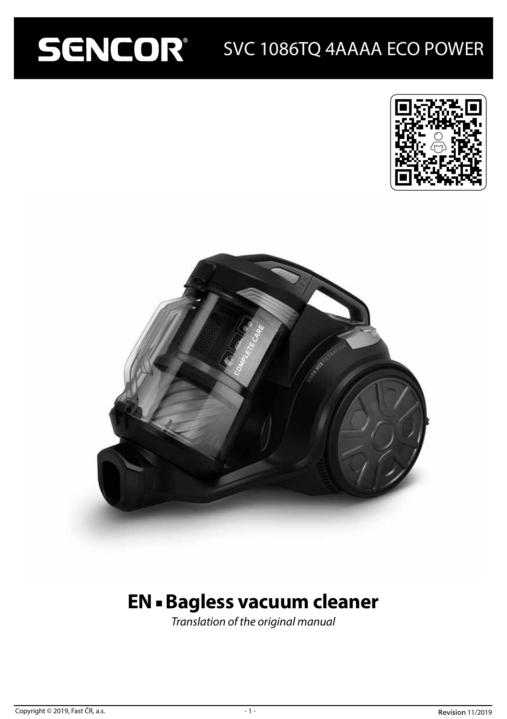# SENCOR SVC 1086TQ 4AAAA ECO POWER





## **EN - Bagless vacuum cleaner**

*Translation of the original manual*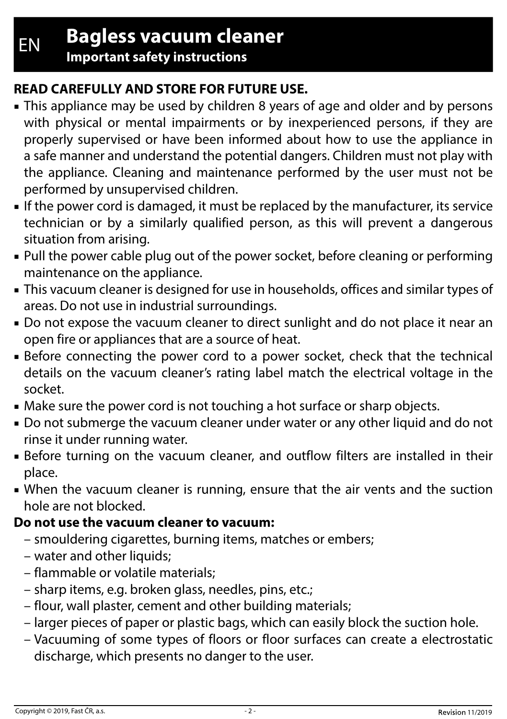EN **Bagless vacuum cleaner**

**Important safety instructions**

## **READ CAREFULLY AND STORE FOR FUTURE USE.**

- This appliance may be used by children 8 years of age and older and by persons with physical or mental impairments or by inexperienced persons, if they are properly supervised or have been informed about how to use the appliance in a safe manner and understand the potential dangers. Children must not play with the appliance. Cleaning and maintenance performed by the user must not be performed by unsupervised children.
- If the power cord is damaged, it must be replaced by the manufacturer, its service technician or by a similarly qualified person, as this will prevent a dangerous situation from arising.
- Pull the power cable plug out of the power socket, before cleaning or performing maintenance on the appliance.
- This vacuum cleaner is designed for use in households, offices and similar types of areas. Do not use in industrial surroundings.
- Do not expose the vacuum cleaner to direct sunlight and do not place it near an open fire or appliances that are a source of heat.
- Before connecting the power cord to a power socket, check that the technical details on the vacuum cleaner's rating label match the electrical voltage in the socket.
- Make sure the power cord is not touching a hot surface or sharp objects.
- Do not submerge the vacuum cleaner under water or any other liquid and do not rinse it under running water.
- Before turning on the vacuum cleaner, and outflow filters are installed in their place.
- When the vacuum cleaner is running, ensure that the air vents and the suction hole are not blocked.

## **Do not use the vacuum cleaner to vacuum:**

- smouldering cigarettes, burning items, matches or embers;
- water and other liquids;
- flammable or volatile materials;
- sharp items, e.g. broken glass, needles, pins, etc.;
- flour, wall plaster, cement and other building materials;
- larger pieces of paper or plastic bags, which can easily block the suction hole.
- Vacuuming of some types of floors or floor surfaces can create a electrostatic discharge, which presents no danger to the user.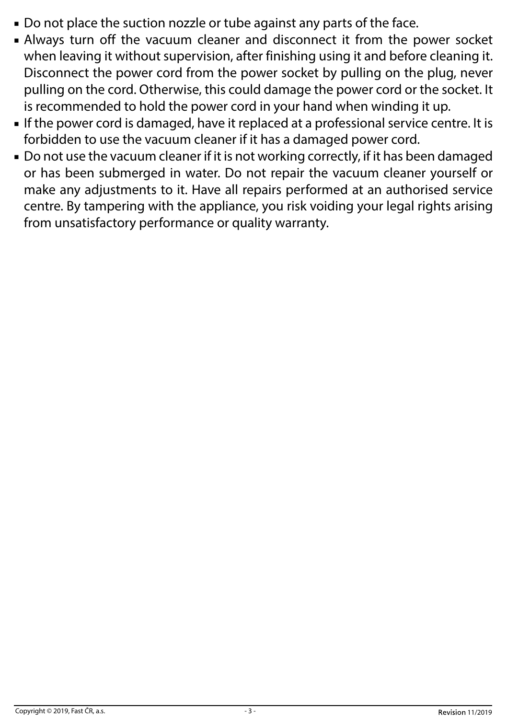- Do not place the suction nozzle or tube against any parts of the face.
- Always turn off the vacuum cleaner and disconnect it from the power socket when leaving it without supervision, after finishing using it and before cleaning it. Disconnect the power cord from the power socket by pulling on the plug, never pulling on the cord. Otherwise, this could damage the power cord or the socket. It is recommended to hold the power cord in your hand when winding it up.
- If the power cord is damaged, have it replaced at a professional service centre. It is forbidden to use the vacuum cleaner if it has a damaged power cord.
- Do not use the vacuum cleaner if it is not working correctly, if it has been damaged or has been submerged in water. Do not repair the vacuum cleaner yourself or make any adjustments to it. Have all repairs performed at an authorised service centre. By tampering with the appliance, you risk voiding your legal rights arising from unsatisfactory performance or quality warranty.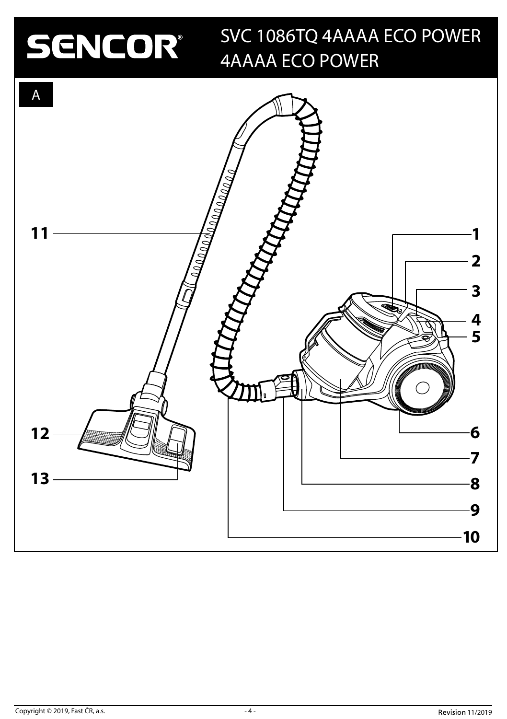# SENCOR®

## SVC 1086TQ 4AAAA ECO POWER 4AAAA ECO POWER

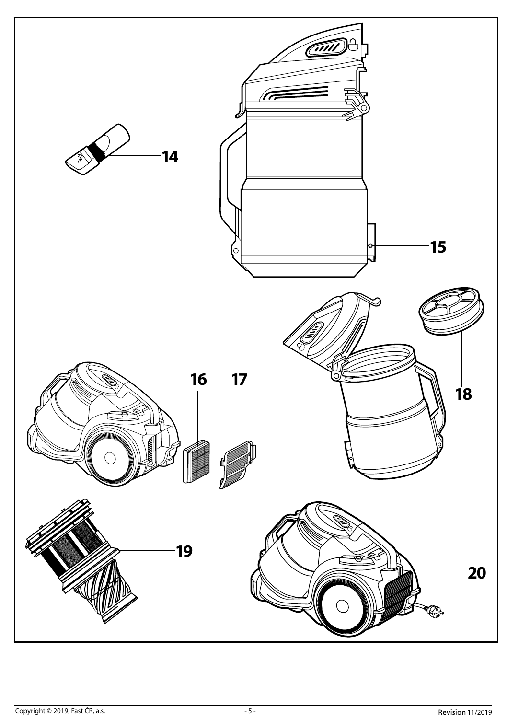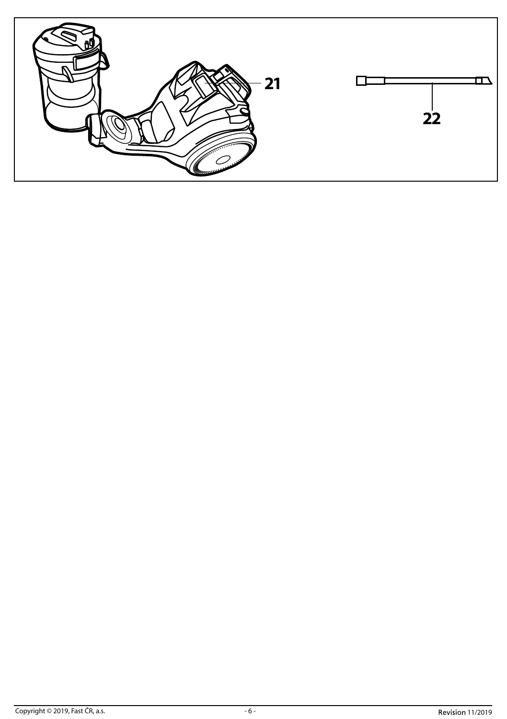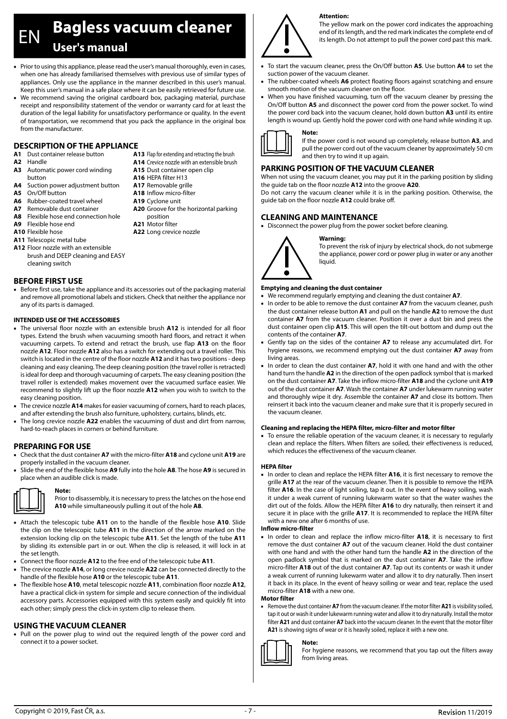EN **Bagless vacuum cleaner User's manual**

- Prior to using this appliance, please read the user's manual thoroughly, even in cases, when one has already familiarised themselves with previous use of similar types of appliances. Only use the appliance in the manner described in this user's manual. Keep this user's manual in a safe place where it can be easily retrieved for future use.
- We recommend saving the original cardboard box, packaging material, purchase receipt and responsibility statement of the vendor or warranty card for at least the duration of the legal liability for unsatisfactory performance or quality. In the event of transportation, we recommend that you pack the appliance in the original box from the manufacturer.

**A14** Crevice nozzle with an extensible brush **A15** Dust container open clip **A16** HEPA filter H13 **A17** Removable grille **A18** Inflow micro-filter **A19** Cyclone unit

**A20** Groove for the horizontal parking

position **A21** Motor filter **A22** Long crevice nozzle

### **DESCRIPTION OF THE APPLIANCE**

- **A1** Dust container release button
- **A2** Handle
- **A3** Automatic power cord winding button
- **A4** Suction power adjustment button
- 
- **A5** On/Off button **A6** Rubber-coated travel wheel
- **A7** Removable dust container
- **A8** Flexible hose end connection hole
- **A9** Flexible hose end
- **A10** Flexible hose
- **A11** Telescopic metal tube
- **A12** Floor nozzle with an extensible brush and DEEP cleaning and EASY cleaning switch

#### **BEFORE FIRST USE**

■ Before first use, take the appliance and its accessories out of the packaging material and remove all promotional labels and stickers. Check that neither the appliance nor any of its parts is damaged.

#### **INTENDED USE OF THE ACCESSORIES**

- The universal floor nozzle with an extensible brush **A12** is intended for all floor types. Extend the brush when vacuuming smooth hard floors, and retract it when vacuuming carpets. To extend and retract the brush, use flap **A13** on the floor nozzle **A12**. Floor nozzle **A12** also has a switch for extending out a travel roller. This switch is located in the centre of the floor nozzle **A12** and it has two positions - deep cleaning and easy cleaning. The deep cleaning position (the travel roller is retracted) is ideal for deep and thorough vacuuming of carpets. The easy cleaning position (the travel roller is extended) makes movement over the vacuumed surface easier. We recommend to slightly lift up the floor nozzle **A12** when you wish to switch to the easy cleaning position.
- The crevice nozzle **A14** makes for easier vacuuming of corners, hard to reach places, and after extending the brush also furniture, upholstery, curtains, blinds, etc.
- The long crevice nozzle A22 enables the vacuuming of dust and dirt from narrow, hard-to-reach places in corners or behind furniture.

#### **PREPARING FOR USE**

**Note:**

- Check that the dust container **A7** with the micro-filter **A18** and cyclone unit **A19** are properly installed in the vacuum cleaner.
- Slide the end of the flexible hose **A9** fully into the hole **A8**. The hose **A9** is secured in place when an audible click is made.



Prior to disassembly, it is necessary to press the latches on the hose end **A10** while simultaneously pulling it out of the hole **A8**.

- Attach the telescopic tube **A11** on to the handle of the flexible hose **A10**. Slide the clip on the telescopic tube **A11** in the direction of the arrow marked on the extension locking clip on the telescopic tube **A11**. Set the length of the tube **A11** by sliding its extensible part in or out. When the clip is released, it will lock in at the set length.
- Connect the floor nozzle **A12** to the free end of the telescopic tube **A11**.
- The crevice nozzle **A14**, or long crevice nozzle **A22** can be connected directly to the handle of the flexible hose **A10** or the telescopic tube **A11**.
- The flexible hose **A10**, metal telescopic nozzle **A11**, combination floor nozzle **A12**, have a practical click-in system for simple and secure connection of the individual accessory parts. Accessories equipped with this system easily and quickly fit into each other; simply press the click-in system clip to release them.

#### **USING THE VACUUM CLEANER**

■ Pull on the power plug to wind out the required length of the power cord and connect it to a power socket.

**A13** Flap for extending and retracting the brush

If the power cord is not wound up completely, release button **A3**, and pull the power cord out of the vacuum cleaner by approximately 50 cm and then try to wind it up again.

### **PARKING POSITION OF THE VACUUM CLEANER**

**Attention:**

When not using the vacuum cleaner, you may put it in the parking position by sliding the guide tab on the floor nozzle **A12** into the groove **A20**.

Do not carry the vacuum cleaner while it is in the parking position. Otherwise, the guide tab on the floor nozzle **A12** could brake off.

#### **CLEANING AND MAINTENANCE**

**Note:**

■ Disconnect the power plug from the power socket before cleaning.



#### **Warning:**

To prevent the risk of injury by electrical shock, do not submerge the appliance, power cord or power plug in water or any another liquid.

#### **Emptying and cleaning the dust container**

- We recommend regularly emptying and cleaning the dust container A7.
- In order to be able to remove the dust container A7 from the vacuum cleaner, push the dust container release button **A1** and pull on the handle **A2** to remove the dust container **A7** from the vacuum cleaner. Position it over a dust bin and press the dust container open clip **A15**. This will open the tilt-out bottom and dump out the contents of the container **A7**.
- Gently tap on the sides of the container A7 to release any accumulated dirt. For hygiene reasons, we recommend emptying out the dust container **A7** away from living areas.
- In order to clean the dust container **A7**, hold it with one hand and with the other hand turn the handle **A2** in the direction of the open padlock symbol that is marked on the dust container **A7**. Take the inflow micro-filter **A18** and the cyclone unit **A19** out of the dust container **A7**. Wash the container **A7** under lukewarm running water and thoroughly wipe it dry. Assemble the container **A7** and close its bottom. Then reinsert it back into the vacuum cleaner and make sure that it is properly secured in the vacuum cleaner.

#### **Cleaning and replacing the HEPA filter, micro-filter and motor filter**

■ To ensure the reliable operation of the vacuum cleaner, it is necessary to regularly clean and replace the filters. When filters are soiled, their effectiveness is reduced, which reduces the effectiveness of the vacuum cleaner.

#### **HEPA filter**

■ In order to clean and replace the HEPA filter **A16**, it is first necessary to remove the grille **A17** at the rear of the vacuum cleaner. Then it is possible to remove the HEPA filter **A16**. In the case of light soiling, tap it out. In the event of heavy soiling, wash it under a weak current of running lukewarm water so that the water washes the dirt out of the folds. Allow the HEPA filter **A16** to dry naturally, then reinsert it and secure it in place with the grille **A17**. It is recommended to replace the HEPA filter with a new one after 6 months of use.

#### **Inflow micro-filter**

In order to clean and replace the inflow micro-filter A18, it is necessary to first remove the dust container **A7** out of the vacuum cleaner. Hold the dust container with one hand and with the other hand turn the handle **A2** in the direction of the open padlock symbol that is marked on the dust container **A7**. Take the inflow micro-filter **A18** out of the dust container **A7**. Tap out its contents or wash it under a weak current of running lukewarm water and allow it to dry naturally. Then insert it back in its place. In the event of heavy soiling or wear and tear, replace the used micro-filter **A18** with a new one.

#### **Motor filter**

Remove the dust container A7 from the vacuum cleaner. If the motor filter A21 is visibility soiled, tap it out or wash it under lukewarm running water and allow it to dry naturally. Install the motor filter **A21** and dust container **A7** back into the vacuum cleaner. In the event that the motor filter **A21** is showing signs of wear or it is heavily soiled, replace it with a new one.



For hygiene reasons, we recommend that you tap out the filters away from living areas.

The yellow mark on the power cord indicates the approaching end of its length, and the red mark indicates the complete end of its length. Do not attempt to pull the power cord past this mark.

- To start the vacuum cleaner, press the On/Off button **A5**. Use button **A4** to set the suction power of the vacuum cleaner.
- The rubber-coated wheels **A6** protect floating floors against scratching and ensure smooth motion of the vacuum cleaner on the floor.
- When you have finished vacuuming, turn off the vacuum cleaner by pressing the On/Off button **A5** and disconnect the power cord from the power socket. To wind the power cord back into the vacuum cleaner, hold down button **A3** until its entire length is wound up. Gently hold the power cord with one hand while winding it up.